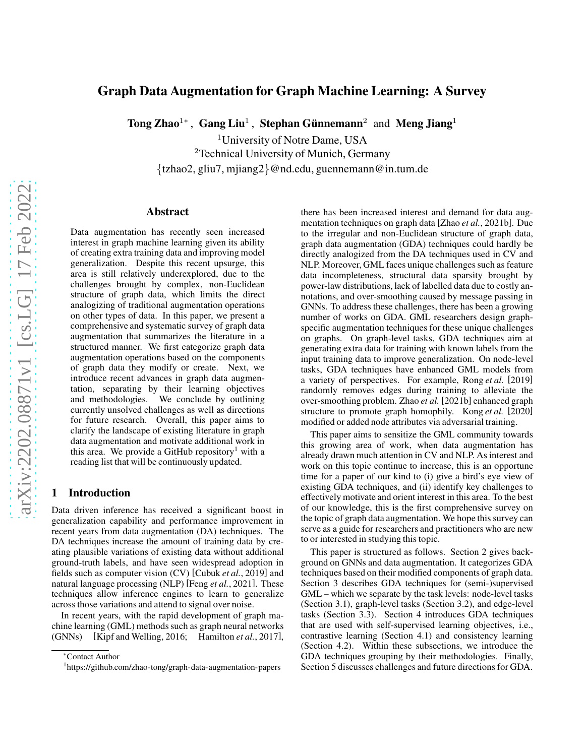# Graph Data Augmentation for Graph Machine Learning: A Survey

Tong Zhao<sup>1</sup>\*, Gang Liu<sup>1</sup>, Stephan Günnemann<sup>2</sup> and Meng Jiang<sup>1</sup>

<sup>1</sup>University of Notre Dame, USA

<sup>2</sup>Technical University of Munich, Germany

{tzhao2, gliu7, mjiang2}@nd.edu, guennemann@in.tum.de

#### Abstract

Data augmentation has recently seen increased interest in graph machine learning given its ability of creating extra training data and improving model generalization. Despite this recent upsurge, this area is still relatively underexplored, due to the challenges brought by complex, non-Euclidean structure of graph data, which limits the direct analogizing of traditional augmentation operations on other types of data. In this paper, we present a comprehensive and systematic survey of graph data augmentation that summarizes the literature in a structured manner. We first categorize graph data augmentation operations based on the components of graph data they modify or create. Next, we introduce recent advances in graph data augmentation, separating by their learning objectives and methodologies. We conclude by outlining currently unsolved challenges as well as directions for future research. Overall, this paper aims to clarify the landscape of existing literature in graph data augmentation and motivate additional work in this area. We provide a GitHub repository<sup>[1](#page-0-0)</sup> with a reading list that will be continuously updated.

#### 1 Introduction

Data driven inference has received a significant boost in generalization capability and performance improvement in recent years from data augmentation (DA) techniques. The DA techniques increase the amount of training data by creating plausible variations of existing data without additional ground-truth labels, and have seen widespread adoption in fields such as computer vision (CV) [\[Cubuk](#page-6-0) *et al.*, 2019] and natural language processing (NLP) [Feng *et al.*[, 2021\]](#page-6-1). These techniques allow inference engines to learn to generalize across those variations and attend to signal over noise.

In recent years, with the rapid development of graph machine learning (GML) methods such as graph neural networks (GNNs) [\[Kipf and Welling, 2016;](#page-6-2) [Hamilton](#page-6-3) *et al.*, 2017], there has been increased interest and demand for data augmentation techniques on graph data [Zhao *et al.*[, 2021b\]](#page-7-0). Due to the irregular and non-Euclidean structure of graph data, graph data augmentation (GDA) techniques could hardly be directly analogized from the DA techniques used in CV and NLP. Moreover, GML faces unique challenges such as feature data incompleteness, structural data sparsity brought by power-law distributions, lack of labelled data due to costly annotations, and over-smoothing caused by message passing in GNNs. To address these challenges, there has been a growing number of works on GDA. GML researchers design graphspecific augmentation techniques for these unique challenges on graphs. On graph-level tasks, GDA techniques aim at generating extra data for training with known labels from the input training data to improve generalization. On node-level tasks, GDA techniques have enhanced GML models from a variety of perspectives. For example, [Rong](#page-6-4) *et al.* [\[2019\]](#page-6-4) randomly removes edges during training to alleviate the over-smoothing problem. [Zhao](#page-7-0) *et al.* [\[2021b\]](#page-7-0) enhanced graph structure to promote graph homophily. [Kong](#page-6-5) *et al.* [\[2020\]](#page-6-5) modified or added node attributes via adversarial training.

This paper aims to sensitize the GML community towards this growing area of work, when data augmentation has already drawn much attention in CV and NLP. As interest and work on this topic continue to increase, this is an opportune time for a paper of our kind to (i) give a bird's eye view of existing GDA techniques, and (ii) identify key challenges to effectively motivate and orient interest in this area. To the best of our knowledge, this is the first comprehensive survey on the topic of graph data augmentation. We hope this survey can serve as a guide for researchers and practitioners who are new to or interested in studying this topic.

This paper is structured as follows. Section [2](#page-1-0) gives background on GNNs and data augmentation. It categorizes GDA techniques based on their modified components of graph data. Section [3](#page-1-1) describes GDA techniques for (semi-)supervised GML – which we separate by the task levels: node-level tasks (Section [3.1\)](#page-1-2), graph-level tasks (Section [3.2\)](#page-3-0), and edge-level tasks (Section [3.3\)](#page-4-0). Section [4](#page-4-1) introduces GDA techniques that are used with self-supervised learning objectives, i.e., contrastive learning (Section [4.1\)](#page-4-2) and consistency learning (Section [4.2\)](#page-4-3). Within these subsections, we introduce the GDA techniques grouping by their methodologies. Finally, Section [5](#page-5-0) discusses challenges and future directions for GDA.

<sup>∗</sup>Contact Author

<span id="page-0-0"></span><sup>&</sup>lt;sup>1</sup><https://github.com/zhao-tong/graph-data-augmentation-papers>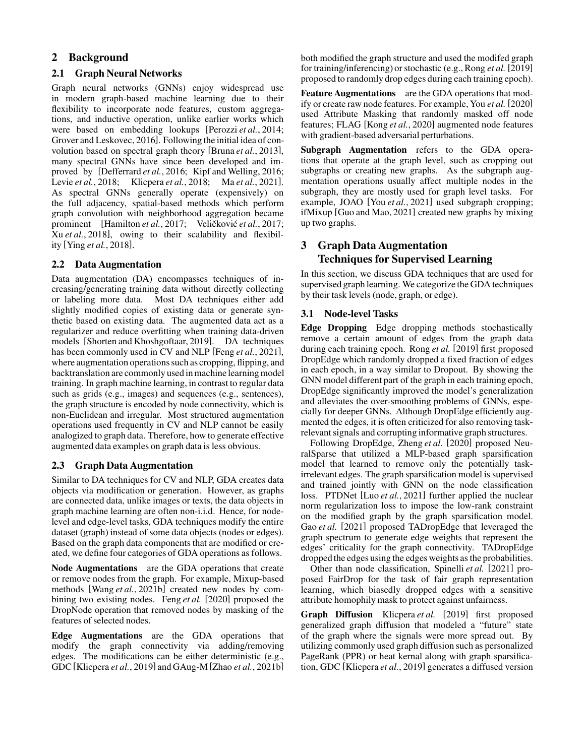# <span id="page-1-0"></span>2 Background

## 2.1 Graph Neural Networks

Graph neural networks (GNNs) enjoy widespread use in modern graph-based machine learning due to their flexibility to incorporate node features, custom aggregations, and inductive operation, unlike earlier works which were based on embedding lookups [\[Perozzi](#page-6-6) *et al.*, 2014; [Grover and Leskovec, 2016\]](#page-6-7). Following the initial idea of convolution based on spectral graph theory [\[Bruna](#page-6-8) *et al.*, 2013], many spectral GNNs have since been developed and improved by [\[Defferrard](#page-6-9) *et al.*, 2016; [Kipf and Welling, 2016;](#page-6-2) Levie *et al.*[, 2018;](#page-6-10) [Klicpera](#page-6-11) *et al.*, 2018; Ma *et al.*[, 2021\]](#page-6-12). As spectral GNNs generally operate (expensively) on the full adjacency, spatial-based methods which perform graph convolution with neighborhood aggregation became prominent [\[Hamilton](#page-6-3) *et al.*, 2017; Veličković *et al.*, 2017; Xu *et al.*[, 2018\]](#page-7-2), owing to their scalability and flexibility [Ying *et al.*[, 2018\]](#page-7-3).

## 2.2 Data Augmentation

Data augmentation (DA) encompasses techniques of increasing/generating training data without directly collecting or labeling more data. Most DA techniques either add slightly modified copies of existing data or generate synthetic based on existing data. The augmented data act as a regularizer and reduce overfitting when training data-driven models [\[Shorten and Khoshgoftaar, 2019\]](#page-6-13). DA techniques has been commonly used in CV and NLP [Feng *et al.*[, 2021\]](#page-6-1), where augmentation operations such as cropping, flipping, and backtranslation are commonly used in machinelearning model training. In graph machine learning, in contrast to regular data such as grids (e.g., images) and sequences (e.g., sentences), the graph structure is encoded by node connectivity, which is non-Euclidean and irregular. Most structured augmentation operations used frequently in CV and NLP cannot be easily analogized to graph data. Therefore, how to generate effective augmented data examples on graph data is less obvious.

# 2.3 Graph Data Augmentation

Similar to DA techniques for CV and NLP, GDA creates data objects via modification or generation. However, as graphs are connected data, unlike images or texts, the data objects in graph machine learning are often non-i.i.d. Hence, for nodelevel and edge-level tasks, GDA techniques modify the entire dataset (graph) instead of some data objects (nodes or edges). Based on the graph data components that are modified or created, we define four categories of GDA operations as follows.

Node Augmentations are the GDA operations that create or remove nodes from the graph. For example, Mixup-based methods [Wang *et al.*[, 2021b\]](#page-7-4) created new nodes by combining two existing nodes. [Feng](#page-6-14) *et al.* [\[2020\]](#page-6-14) proposed the DropNode operation that removed nodes by masking of the features of selected nodes.

Edge Augmentations are the GDA operations that modify the graph connectivity via adding/removing edges. The modifications can be either deterministic (e.g., GDC[\[Klicpera](#page-6-15) *et al.*, 2019] and GAug-M [Zhao *et al.*[, 2021b\]](#page-7-0)

both modified the graph structure and used the modifed graph for training/inferencing) or stochastic (e.g., [Rong](#page-6-4) *et al.* [\[2019\]](#page-6-4) proposed to randomly drop edges during each training epoch).

Feature Augmentations are the GDA operations that modify or create raw node features. For example, You *[et al.](#page-7-5)* [\[2020\]](#page-7-5) used Attribute Masking that randomly masked off node features; FLAG [Kong *et al.*[, 2020\]](#page-6-5) augmented node features with gradient-based adversarial perturbations.

Subgraph Augmentation refers to the GDA operations that operate at the graph level, such as cropping out subgraphs or creating new graphs. As the subgraph augmentation operations usually affect multiple nodes in the subgraph, they are mostly used for graph level tasks. For example, JOAO [You *et al.*[, 2021\]](#page-7-6) used subgraph cropping; ifMixup [\[Guo and Mao, 2021\]](#page-6-16) created new graphs by mixing up two graphs.

# <span id="page-1-1"></span>3 Graph Data Augmentation Techniques for Supervised Learning

In this section, we discuss GDA techniques that are used for supervised graph learning. We categorize the GDA techniques by their task levels (node, graph, or edge).

## <span id="page-1-2"></span>3.1 Node-level Tasks

Edge Dropping Edge dropping methods stochastically remove a certain amount of edges from the graph data during each training epoch. [Rong](#page-6-4) *et al.* [\[2019\]](#page-6-4) first proposed DropEdge which randomly dropped a fixed fraction of edges in each epoch, in a way similar to Dropout. By showing the GNN model different part of the graph in each training epoch, DropEdge significantly improved the model's generalization and alleviates the over-smoothing problems of GNNs, especially for deeper GNNs. Although DropEdge efficiently augmented the edges, it is often criticized for also removing taskrelevant signals and corrupting informative graph structures.

Following DropEdge, [Zheng](#page-7-7) *et al.* [\[2020\]](#page-7-7) proposed NeuralSparse that utilized a MLP-based graph sparsification model that learned to remove only the potentially taskirrelevant edges. The graph sparsification model is supervised and trained jointly with GNN on the node classification loss. PTDNet [Luo *et al.*[, 2021\]](#page-6-17) further applied the nuclear norm regularization loss to impose the low-rank constraint on the modified graph by the graph sparsification model. Gao *[et al.](#page-6-18)* [\[2021\]](#page-6-18) proposed TADropEdge that leveraged the graph spectrum to generate edge weights that represent the edges' criticality for the graph connectivity. TADropEdge droppedthe edges using the edges weights as the probabilities.

Other than node classification, [Spinelli](#page-7-8) *et al.* [\[2021\]](#page-7-8) proposed FairDrop for the task of fair graph representation learning, which biasedly dropped edges with a sensitive attribute homophily mask to protect against unfairness.

Graph Diffusion [Klicpera](#page-6-15) et al. [\[2019\]](#page-6-15) first proposed generalized graph diffusion that modeled a "future" state of the graph where the signals were more spread out. By utilizing commonly used graph diffusion such as personalized PageRank (PPR) or heat kernal along with graph sparsification, GDC [\[Klicpera](#page-6-15) *et al.*, 2019] generates a diffused version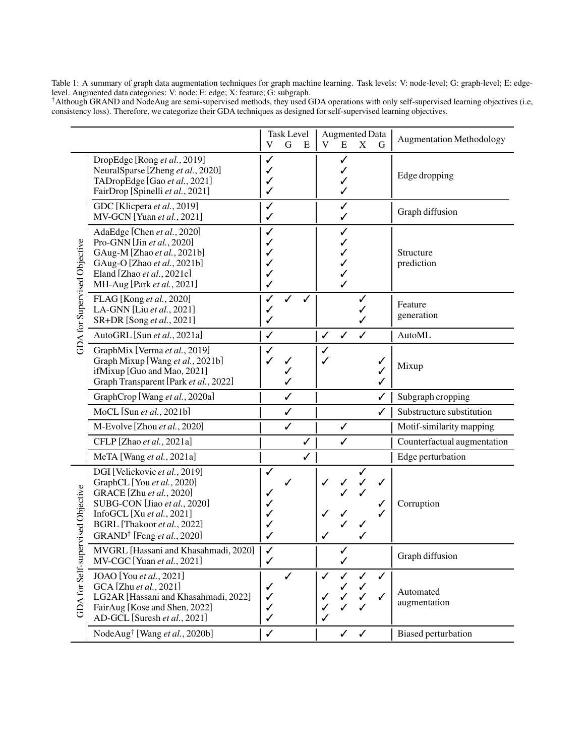<span id="page-2-0"></span>Table 1: A summary of graph data augmentation techniques for graph machine learning. Task levels: V: node-level; G: graph-level; E: edgelevel. Augmented data categories: V: node; E: edge; X: feature; G: subgraph.

†Although GRAND and NodeAug are semi-supervised methods, they used GDA operations with only self-supervised learning objectives (i.e, consistency loss). Therefore, we categorize their GDA techniques as designed for self-supervised learning objectives.

|                                              |                                                                                                                                                                                                                               | V                           | <b>Task Level</b><br>G | E            | V      | E            | <b>Augmented Data</b><br>X | G            | <b>Augmentation Methodology</b> |
|----------------------------------------------|-------------------------------------------------------------------------------------------------------------------------------------------------------------------------------------------------------------------------------|-----------------------------|------------------------|--------------|--------|--------------|----------------------------|--------------|---------------------------------|
| GDA for Supervised Objective                 | DropEdge [Rong et al., 2019]<br>NeuralSparse [Zheng et al., 2020]<br>TADropEdge [Gao et al., 2021]<br>FairDrop [Spinelli et al., 2021]                                                                                        | ✓<br>✓<br>✓<br>✓            |                        |              |        | ✓<br>✓       |                            |              | Edge dropping                   |
|                                              | GDC [Klicpera et al., 2019]<br>MV-GCN [Yuan et al., 2021]                                                                                                                                                                     | ✓<br>✓                      |                        |              |        | ✓<br>✓       |                            |              | Graph diffusion                 |
|                                              | AdaEdge [Chen et al., 2020]<br>Pro-GNN [Jin et al., 2020]<br>GAug-M [Zhao et al., 2021b]<br>GAug-O [Zhao et al., 2021b]<br>Eland [Zhao et al., 2021c]<br>MH-Aug [Park et al., 2021]                                           | ✓<br>✓<br>✓<br>✓<br>✓<br>✓  |                        |              |        | ✓<br>╱       |                            |              | Structure<br>prediction         |
|                                              | FLAG [Kong et al., 2020]<br>LA-GNN [Liu et al., 2021]<br>SR+DR [Song et al., 2021]                                                                                                                                            | ✓<br>✓<br>✓                 |                        |              |        |              |                            |              | Feature<br>generation           |
|                                              | AutoGRL [Sun et al., 2021a]                                                                                                                                                                                                   | ✓                           |                        |              | ✓      | ✓            | ✓                          |              | <b>AutoML</b>                   |
|                                              | GraphMix [Verma et al., 2019]<br>Graph Mixup [Wang et al., 2021b]<br>ifMixup [Guo and Mao, 2021]<br>Graph Transparent [Park et al., 2022]                                                                                     | ✓                           | ✓                      |              |        |              |                            | ✓<br>✓<br>✓  | Mixup                           |
|                                              | GraphCrop [Wang et al., 2020a]                                                                                                                                                                                                |                             | ✓                      |              |        |              |                            | $\checkmark$ | Subgraph cropping               |
|                                              | MoCL [Sun et al., 2021b]                                                                                                                                                                                                      |                             | $\checkmark$           |              |        |              |                            | ✓            | Substructure substitution       |
|                                              | M-Evolve [Zhou et al., 2020]                                                                                                                                                                                                  |                             | $\checkmark$           |              |        | ✓            |                            |              | Motif-similarity mapping        |
|                                              | CFLP [Zhao et al., 2021a]                                                                                                                                                                                                     |                             |                        | $\checkmark$ |        | ✓            |                            |              | Counterfactual augmentation     |
|                                              | MeTA [Wang et al., 2021a]                                                                                                                                                                                                     |                             |                        | $\checkmark$ |        |              |                            |              | Edge perturbation               |
| pervised Objective<br><b>GDA</b> for Self-su | DGI [Velickovic et al., 2019]<br>GraphCL [You et al., 2020]<br>GRACE [Zhu et al., 2020]<br>SUBG-CON [Jiao et al., 2020]<br>InfoGCL [Xu et al., 2021]<br>BGRL [Thakoor et al., 2022]<br>GRAND <sup>†</sup> [Feng et al., 2020] | ✓<br>✓<br>✓                 |                        |              |        |              |                            | ✓            | Corruption                      |
|                                              | MVGRL [Hassani and Khasahmadi, 2020]<br>MV-CGC [Yuan et al., 2021]                                                                                                                                                            | ✓<br>✓                      |                        |              |        | ✓            |                            |              | Graph diffusion                 |
|                                              | JOAO [You et al., 2021]<br>GCA [Zhu et al., 2021]<br>LG2AR [Hassani and Khasahmadi, 2022]<br>FairAug [Kose and Shen, 2022]<br>AD-GCL [Suresh et al., 2021]                                                                    | ✓<br>✓<br>✓<br>$\checkmark$ | ✓                      |              | ✓<br>✓ | ✓<br>✓<br>✓  | ✓                          | ✓<br>✓       | Automated<br>augmentation       |
|                                              | NodeAug <sup>†</sup> [Wang et al., 2020b]                                                                                                                                                                                     | $\checkmark$                |                        |              |        | $\checkmark$ | $\checkmark$               |              | <b>Biased perturbation</b>      |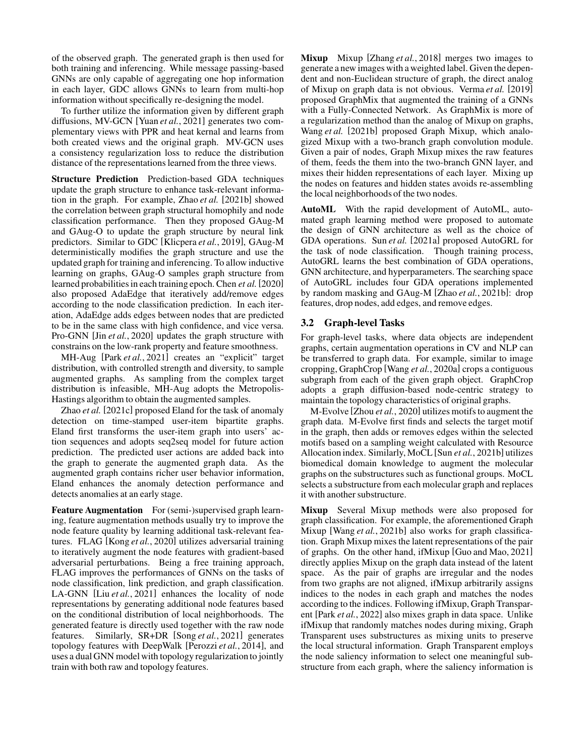of the observed graph. The generated graph is then used for both training and inferencing. While message passing-based GNNs are only capable of aggregating one hop information in each layer, GDC allows GNNs to learn from multi-hop information without specifically re-designing the model.

To further utilize the information given by different graph diffusions, MV-GCN [Yuan *et al.*[, 2021\]](#page-7-9) generates two complementary views with PPR and heat kernal and learns from both created views and the original graph. MV-GCN uses a consistency regularization loss to reduce the distribution distance of the representations learned from the three views.

Structure Prediction Prediction-based GDA techniques update the graph structure to enhance task-relevant information in the graph. For example, [Zhao](#page-7-0) *et al.* [\[2021b\]](#page-7-0) showed the correlation between graph structural homophily and node classification performance. Then they proposed GAug-M and GAug-O to update the graph structure by neural link predictors. Similar to GDC [\[Klicpera](#page-6-15) *et al.*, 2019], GAug-M deterministically modifies the graph structure and use the updated graph for training and inferencing. To allow inductive learning on graphs, GAug-O samples graph structure from learned probabilities in each training epoch. [Chen](#page-6-19) *et al.*[\[2020\]](#page-6-19) also proposed AdaEdge that iteratively add/remove edges according to the node classification prediction. In each iteration, AdaEdge adds edges between nodes that are predicted to be in the same class with high confidence, and vice versa. Pro-GNN [Jin *et al.*[, 2020\]](#page-6-20) updates the graph structure with constrains on the low-rank property and feature smoothness.

MH-Aug [Park *et al.*[, 2021\]](#page-6-21) creates an "explicit" target distribution, with controlled strength and diversity, to sample augmented graphs. As sampling from the complex target distribution is infeasible, MH-Aug adopts the Metropolis-Hastings algorithm to obtain the augmented samples.

[Zhao](#page-7-10) *et al.* [\[2021c\]](#page-7-10) proposed Eland for the task of anomaly detection on time-stamped user-item bipartite graphs. Eland first transforms the user-item graph into users' action sequences and adopts seq2seq model for future action prediction. The predicted user actions are added back into the graph to generate the augmented graph data. As the augmented graph contains richer user behavior information, Eland enhances the anomaly detection performance and detects anomalies at an early stage.

Feature Augmentation For (semi-)supervised graph learning, feature augmentation methods usually try to improve the node feature quality by learning additional task-relevant features. FLAG [Kong *et al.*[, 2020\]](#page-6-5) utilizes adversarial training to iteratively augment the node features with gradient-based adversarial perturbations. Being a free training approach, FLAG improves the performances of GNNs on the tasks of node classification, link prediction, and graph classification. LA-GNN [Liu *et al.*[, 2021\]](#page-6-22) enhances the locality of node representations by generating additional node features based on the conditional distribution of local neighborhoods. The generated feature is directly used together with the raw node features. Similarly, SR+DR [Song *et al.*[, 2021\]](#page-6-23) generates topology features with DeepWalk [\[Perozzi](#page-6-6) *et al.*, 2014], and uses a dual GNN model with topology regularizationto jointly train with both raw and topology features.

Mixup Mixup [\[Zhang](#page-7-25) *et al.*, 2018] merges two images to generate a new images with a weighted label. Given the dependent and non-Euclidean structure of graph, the direct analog of Mixup on graph data is not obvious. [Verma](#page-7-12) *et al.* [\[2019\]](#page-7-12) proposed GraphMix that augmented the training of a GNNs with a Fully-Connected Network. As GraphMix is more of a regularization method than the analog of Mixup on graphs, [Wang](#page-7-4) *et al.* [\[2021b\]](#page-7-4) proposed Graph Mixup, which analogized Mixup with a two-branch graph convolution module. Given a pair of nodes, Graph Mixup mixes the raw features of them, feeds the them into the two-branch GNN layer, and mixes their hidden representations of each layer. Mixing up the nodes on features and hidden states avoids re-assembling the local neighborhoods of the two nodes.

AutoML With the rapid development of AutoML, automated graph learning method were proposed to automate the design of GNN architecture as well as the choice of GDA operations. Sun *[et al.](#page-7-11)* [\[2021a\]](#page-7-11) proposed AutoGRL for the task of node classification. Though training process, AutoGRL learns the best combination of GDA operations, GNN architecture, and hyperparameters. The searching space of AutoGRL includes four GDA operations implemented by random masking and GAug-M [Zhao *et al.*[, 2021b\]](#page-7-0): drop features, drop nodes, add edges, and remove edges.

## <span id="page-3-0"></span>3.2 Graph-level Tasks

For graph-level tasks, where data objects are independent graphs, certain augmentation operations in CV and NLP can be transferred to graph data. For example, similar to image cropping, GraphCrop [Wang *et al.*[, 2020a\]](#page-7-13) crops a contiguous subgraph from each of the given graph object. GraphCrop adopts a graph diffusion-based node-centric strategy to maintain the topology characteristics of original graphs.

M-Evolve [Zhou *et al.*[, 2020\]](#page-7-15) utilizes motifs to augment the graph data. M-Evolve first finds and selects the target motif in the graph, then adds or removes edges within the selected motifs based on a sampling weight calculated with Resource Allocation index. Similarly, MoCL [Sun *et al.*[, 2021b\]](#page-7-14) utilizes biomedical domain knowledge to augment the molecular graphs on the substructures such as functional groups. MoCL selects a substructure from each molecular graph and replaces it with another substructure.

Mixup Several Mixup methods were also proposed for graph classification. For example, the aforementioned Graph Mixup [Wang *et al.*[, 2021b\]](#page-7-4) also works for graph classification. Graph Mixup mixes the latent representations of the pair of graphs. On the other hand, ifMixup [\[Guo and Mao, 2021\]](#page-6-16) directly applies Mixup on the graph data instead of the latent space. As the pair of graphs are irregular and the nodes from two graphs are not aligned, ifMixup arbitrarily assigns indices to the nodes in each graph and matches the nodes according to the indices. Following ifMixup, Graph Transparent [Park *et al.*[, 2022\]](#page-6-24) also mixes graph in data space. Unlike ifMixup that randomly matches nodes during mixing, Graph Transparent uses substructures as mixing units to preserve the local structural information. Graph Transparent employs the node saliency information to select one meaningful substructure from each graph, where the saliency information is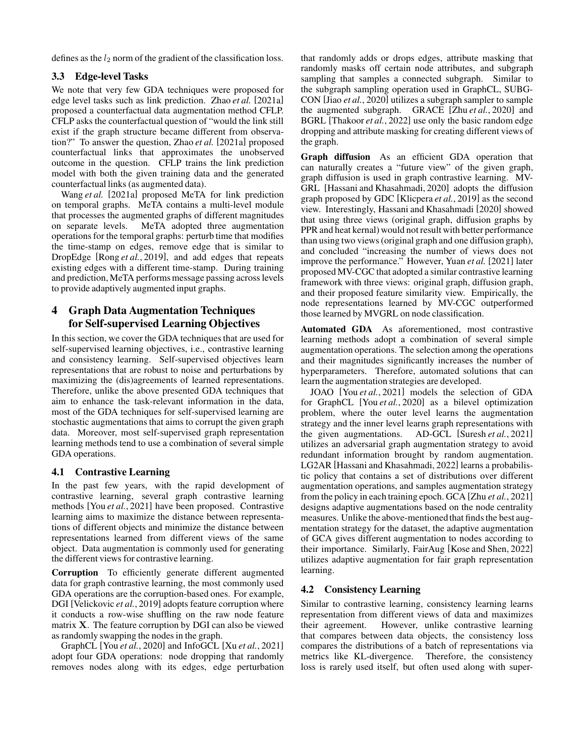<span id="page-4-0"></span>defines as the  $l_2$  norm of the gradient of the classification loss.

#### 3.3 Edge-level Tasks

We note that very few GDA techniques were proposed for edge level tasks such as link prediction. [Zhao](#page-7-16) *et al.* [\[2021a\]](#page-7-16) proposed a counterfactual data augmentation method CFLP. CFLP asks the counterfactual question of "would the link still exist if the graph structure became different from observation?" To answer the question, [Zhao](#page-7-16) *et al.* [\[2021a\]](#page-7-16) proposed counterfactual links that approximates the unobserved outcome in the question. CFLP trains the link prediction model with both the given training data and the generated counterfactual links (as augmented data).

[Wang](#page-7-17) *et al.* [\[2021a\]](#page-7-17) proposed MeTA for link prediction on temporal graphs. MeTA contains a multi-level module that processes the augmented graphs of different magnitudes on separate levels. MeTA adopted three augmentation operations for the temporal graphs: perturb time that modifies the time-stamp on edges, remove edge that is similar to DropEdge [Rong *et al.*[, 2019\]](#page-6-4), and add edges that repeats existing edges with a different time-stamp. During training and prediction, MeTA performs message passing across levels to provide adaptively augmented input graphs.

# <span id="page-4-1"></span>4 Graph Data Augmentation Techniques for Self-supervised Learning Objectives

In this section, we cover the GDA techniques that are used for self-supervised learning objectives, i.e., contrastive learning and consistency learning. Self-supervised objectives learn representations that are robust to noise and perturbations by maximizing the (dis)agreements of learned representations. Therefore, unlike the above presented GDA techniques that aim to enhance the task-relevant information in the data, most of the GDA techniques for self-supervised learning are stochastic augmentations that aims to corrupt the given graph data. Moreover, most self-supervised graph representation learning methods tend to use a combination of several simple GDA operations.

### <span id="page-4-2"></span>4.1 Contrastive Learning

In the past few years, with the rapid development of contrastive learning, several graph contrastive learning methods [You *et al.*[, 2021\]](#page-7-6) have been proposed. Contrastive learning aims to maximize the distance between representations of different objects and minimize the distance between representations learned from different views of the same object. Data augmentation is commonly used for generating the different views for contrastive learning.

Corruption To efficiently generate different augmented data for graph contrastive learning, the most commonly used GDA operations are the corruption-based ones. For example, DGI [\[Velickovic](#page-7-18) *et al.*, 2019] adopts feature corruption where it conducts a row-wise shuffling on the raw node feature matrix X. The feature corruption by DGI can also be viewed as randomly swapping the nodes in the graph.

GraphCL [You *et al.*[, 2020\]](#page-7-5) and InfoGCL [Xu *et al.*[, 2021\]](#page-7-20) adopt four GDA operations: node dropping that randomly removes nodes along with its edges, edge perturbation that randomly adds or drops edges, attribute masking that randomly masks off certain node attributes, and subgraph sampling that samples a connected subgraph. Similar to the subgraph sampling operation used in GraphCL, SUBG-CON [Jiao *et al.*[, 2020\]](#page-6-25) utilizes a subgraph sampler to sample the augmented subgraph. GRACE [Zhu *et al.*[, 2020\]](#page-7-19) and BGRL [\[Thakoor](#page-7-21) *et al.*, 2022] use only the basic random edge dropping and attribute masking for creating different views of the graph.

Graph diffusion As an efficient GDA operation that can naturally creates a "future view" of the given graph, graph diffusion is used in graph contrastive learning. MV-GRL [\[Hassani and Khasahmadi, 2020\]](#page-6-26) adopts the diffusion graph proposed by GDC [\[Klicpera](#page-6-15) *et al.*, 2019] as the second view. Interestingly, [Hassani and Khasahmadi](#page-6-26) [\[2020\]](#page-6-26) showed that using three views (original graph, diffusion graphs by PPR and heat kernal) would not result with better performance than using two views (original graph and one diffusion graph), and concluded "increasing the number of views does not improve the performance." However, [Yuan](#page-7-9) *et al.* [\[2021\]](#page-7-9) later proposed MV-CGC that adopted a similar contrastive learning framework with three views: original graph, diffusion graph, and their proposed feature similarity view. Empirically, the node representations learned by MV-CGC outperformed those learned by MVGRL on node classification.

Automated GDA As aforementioned, most contrastive learning methods adopt a combination of several simple augmentation operations. The selection among the operations and their magnitudes significantly increases the number of hyperparameters. Therefore, automated solutions that can learn the augmentation strategies are developed.

JOAO [You *et al.*[, 2021\]](#page-7-6) models the selection of GDA for GraphCL [You *et al.*[, 2020\]](#page-7-5) as a bilevel optimization problem, where the outer level learns the augmentation strategy and the inner level learns graph representations with the given augmentations. AD-GCL [\[Suresh](#page-7-23) *et al.*, 2021] utilizes an adversarial graph augmentation strategy to avoid redundant information brought by random augmentation. LG2AR [\[Hassani and Khasahmadi, 2022\]](#page-6-27) learns a probabilistic policy that contains a set of distributions over different augmentation operations, and samples augmentation strategy from the policy in each training epoch. GCA [Zhu *et al.*[, 2021\]](#page-7-22) designs adaptive augmentations based on the node centrality measures. Unlike the above-mentioned that finds the best augmentation strategy for the dataset, the adaptive augmentation of GCA gives different augmentation to nodes according to their importance. Similarly, FairAug [\[Kose and Shen, 2022\]](#page-6-28) utilizes adaptive augmentation for fair graph representation learning.

### <span id="page-4-3"></span>4.2 Consistency Learning

Similar to contrastive learning, consistency learning learns representation from different views of data and maximizes their agreement. However, unlike contrastive learning that compares between data objects, the consistency loss compares the distributions of a batch of representations via metrics like KL-divergence. Therefore, the consistency loss is rarely used itself, but often used along with super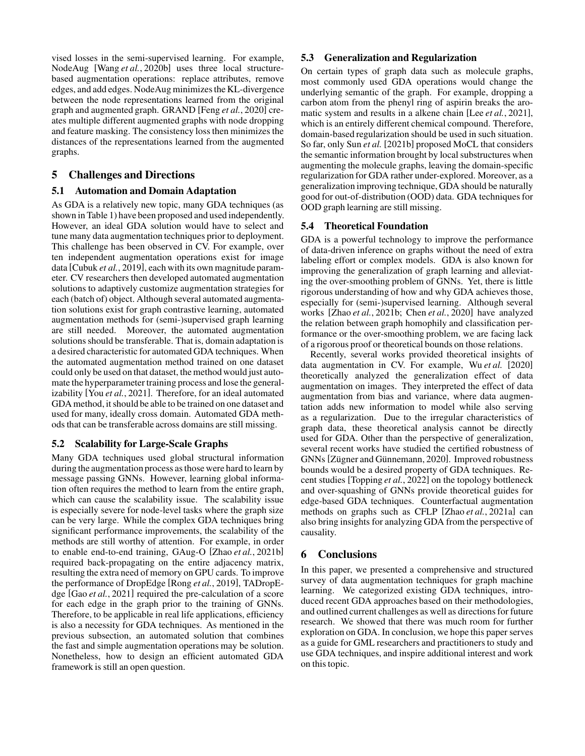vised losses in the semi-supervised learning. For example, NodeAug [Wang *et al.*[, 2020b\]](#page-7-24) uses three local structurebased augmentation operations: replace attributes, remove edges, and add edges. NodeAug minimizes the KL-divergence between the node representations learned from the original graph and augmented graph. GRAND [Feng *et al.*[, 2020\]](#page-6-14) creates multiple different augmented graphs with node dropping and feature masking. The consistency loss then minimizes the distances of the representations learned from the augmented graphs.

# <span id="page-5-0"></span>5 Challenges and Directions

## 5.1 Automation and Domain Adaptation

As GDA is a relatively new topic, many GDA techniques (as shown in Table [1\)](#page-2-0) have been proposed and used independently. However, an ideal GDA solution would have to select and tune many data augmentation techniques prior to deployment. This challenge has been observed in CV. For example, over ten independent augmentation operations exist for image data [\[Cubuk](#page-6-0) *et al.*, 2019], each with its own magnitude parameter. CV researchers then developed automated augmentation solutions to adaptively customize augmentation strategies for each (batch of) object. Although several automated augmentation solutions exist for graph contrastive learning, automated augmentation methods for (semi-)supervised graph learning are still needed. Moreover, the automated augmentation solutions should be transferable. That is, domain adaptation is a desired characteristic for automated GDA techniques. When the automated augmentation method trained on one dataset could only be used on that dataset, the method would just automate the hyperparameter training process and lose the generalizability [You *et al.*[, 2021\]](#page-7-6). Therefore, for an ideal automated GDA method, it should be able to be trained on one dataset and used for many, ideally cross domain. Automated GDA methods that can be transferable across domains are still missing.

# 5.2 Scalability for Large-Scale Graphs

Many GDA techniques used global structural information during the augmentation process as those were hard to learn by message passing GNNs. However, learning global information often requires the method to learn from the entire graph, which can cause the scalability issue. The scalability issue is especially severe for node-level tasks where the graph size can be very large. While the complex GDA techniques bring significant performance improvements, the scalability of the methods are still worthy of attention. For example, in order to enable end-to-end training, GAug-O [Zhao *et al.*[, 2021b\]](#page-7-0) required back-propagating on the entire adjacency matrix, resulting the extra need of memory on GPU cards. To improve the performance of DropEdge [Rong *et al.*[, 2019\]](#page-6-4), TADropEdge [Gao *et al.*[, 2021\]](#page-6-18) required the pre-calculation of a score for each edge in the graph prior to the training of GNNs. Therefore, to be applicable in real life applications, efficiency is also a necessity for GDA techniques. As mentioned in the previous subsection, an automated solution that combines the fast and simple augmentation operations may be solution. Nonetheless, how to design an efficient automated GDA framework is still an open question.

# 5.3 Generalization and Regularization

On certain types of graph data such as molecule graphs, most commonly used GDA operations would change the underlying semantic of the graph. For example, dropping a carbon atom from the phenyl ring of aspirin breaks the aromatic system and results in a alkene chain [Lee *et al.*[, 2021\]](#page-6-29), which is an entirely different chemical compound. Therefore, domain-based regularization should be used in such situation. So far, only Sun *[et al.](#page-7-14)* [\[2021b\]](#page-7-14) proposed MoCL that considers the semantic information brought by local substructures when augmenting the molecule graphs, leaving the domain-specific regularization for GDA rather under-explored. Moreover, as a generalization improving technique, GDA should be naturally good for out-of-distribution (OOD) data. GDA techniques for OOD graph learning are still missing.

# 5.4 Theoretical Foundation

GDA is a powerful technology to improve the performance of data-driven inference on graphs without the need of extra labeling effort or complex models. GDA is also known for improving the generalization of graph learning and alleviating the over-smoothing problem of GNNs. Yet, there is little rigorous understanding of how and why GDA achieves those, especially for (semi-)supervised learning. Although several works [Zhao *et al.*[, 2021b;](#page-7-0) Chen *et al.*[, 2020\]](#page-6-19) have analyzed the relation between graph homophily and classification performance or the over-smoothing problem, we are facing lack of a rigorous proof or theoretical bounds on those relations.

Recently, several works provided theoretical insights of data augmentation in CV. For example, Wu *[et al.](#page-7-26)* [\[2020\]](#page-7-26) theoretically analyzed the generalization effect of data augmentation on images. They interpreted the effect of data augmentation from bias and variance, where data augmentation adds new information to model while also serving as a regularization. Due to the irregular characteristics of graph data, these theoretical analysis cannot be directly used for GDA. Other than the perspective of generalization, several recent works have studied the certified robustness of GNNs [Zügner and Günnemann, 2020]. Improved robustness bounds would be a desired property of GDA techniques. Recent studies [\[Topping](#page-7-28) *et al.*, 2022] on the topology bottleneck and over-squashing of GNNs provide theoretical guides for edge-based GDA techniques. Counterfactual augmentation methods on graphs such as CFLP [Zhao *et al.*[, 2021a\]](#page-7-16) can also bring insights for analyzing GDA from the perspective of causality.

# 6 Conclusions

In this paper, we presented a comprehensive and structured survey of data augmentation techniques for graph machine learning. We categorized existing GDA techniques, introduced recent GDA approaches based on their methodologies, and outlined current challenges as well as directions for future research. We showed that there was much room for further exploration on GDA. In conclusion, we hope this paper serves as a guide for GML researchers and practitioners to study and use GDA techniques, and inspire additional interest and work on this topic.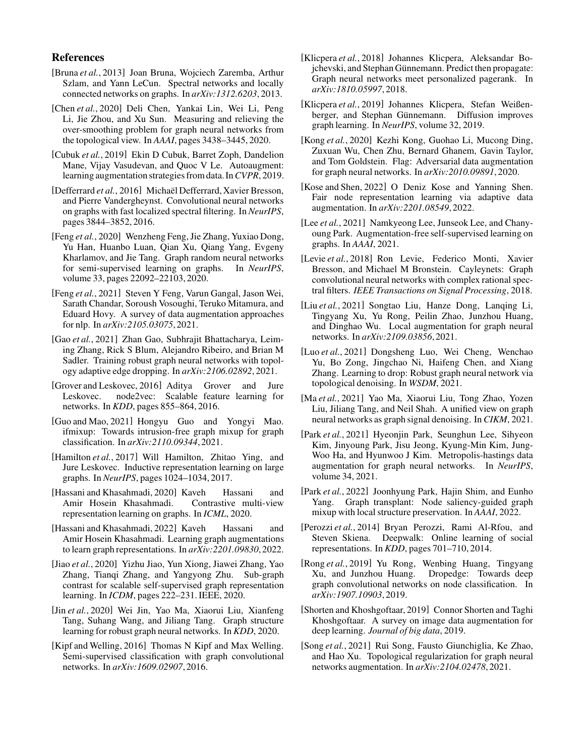### References

- <span id="page-6-8"></span>[Bruna *et al.*, 2013] Joan Bruna, Wojciech Zaremba, Arthur Szlam, and Yann LeCun. Spectral networks and locally connected networks on graphs. In *arXiv:1312.6203*, 2013.
- <span id="page-6-19"></span>[Chen *et al.*, 2020] Deli Chen, Yankai Lin, Wei Li, Peng Li, Jie Zhou, and Xu Sun. Measuring and relieving the over-smoothing problem for graph neural networks from the topological view. In *AAAI*, pages 3438–3445, 2020.
- <span id="page-6-0"></span>[Cubuk *et al.*, 2019] Ekin D Cubuk, Barret Zoph, Dandelion Mane, Vijay Vasudevan, and Quoc V Le. Autoaugment: learning augmentation strategies from data. In*CVPR*, 2019.
- <span id="page-6-9"></span>[Defferrard et al., 2016] Michaël Defferrard, Xavier Bresson, and Pierre Vandergheynst. Convolutional neural networks on graphs with fast localized spectral filtering. In *NeurIPS*, pages 3844–3852, 2016.
- <span id="page-6-14"></span>[Feng *et al.*, 2020] Wenzheng Feng, Jie Zhang, Yuxiao Dong, Yu Han, Huanbo Luan, Qian Xu, Qiang Yang, Evgeny Kharlamov, and Jie Tang. Graph random neural networks for semi-supervised learning on graphs. In *NeurIPS*, volume 33, pages 22092–22103, 2020.
- <span id="page-6-1"></span>[Feng *et al.*, 2021] Steven Y Feng, Varun Gangal, Jason Wei, Sarath Chandar, Soroush Vosoughi, Teruko Mitamura, and Eduard Hovy. A survey of data augmentation approaches for nlp. In *arXiv:2105.03075*, 2021.
- <span id="page-6-18"></span>[Gao *et al.*, 2021] Zhan Gao, Subhrajit Bhattacharya, Leiming Zhang, Rick S Blum, Alejandro Ribeiro, and Brian M Sadler. Training robust graph neural networks with topology adaptive edge dropping. In *arXiv:2106.02892*, 2021.
- <span id="page-6-7"></span>[Grover and Leskovec, 2016] Aditya Grover and Jure Leskovec. node2vec: Scalable feature learning for networks. In *KDD*, pages 855–864, 2016.
- <span id="page-6-16"></span>[Guo and Mao, 2021] Hongyu Guo and Yongyi Mao. ifmixup: Towards intrusion-free graph mixup for graph classification. In *arXiv:2110.09344*, 2021.
- <span id="page-6-3"></span>[Hamilton et al., 2017] Will Hamilton, Zhitao Ying, and Jure Leskovec. Inductive representation learning on large graphs. In *NeurIPS*, pages 1024–1034, 2017.
- <span id="page-6-26"></span>[Hassani and Khasahmadi, 2020] Kaveh Hassani and Amir Hosein Khasahmadi. Contrastive multi-view representation learning on graphs. In *ICML*, 2020.
- <span id="page-6-27"></span>[Hassani and Khasahmadi, 2022] Kaveh Hassani and Amir Hosein Khasahmadi. Learning graph augmentations to learn graph representations. In *arXiv:2201.09830*, 2022.
- <span id="page-6-25"></span>[Jiao *et al.*, 2020] Yizhu Jiao, Yun Xiong, Jiawei Zhang, Yao Zhang, Tianqi Zhang, and Yangyong Zhu. Sub-graph contrast for scalable self-supervised graph representation learning. In *ICDM*, pages 222–231. IEEE, 2020.
- <span id="page-6-20"></span>[Jin *et al.*, 2020] Wei Jin, Yao Ma, Xiaorui Liu, Xianfeng Tang, Suhang Wang, and Jiliang Tang. Graph structure learning for robust graph neural networks. In *KDD*, 2020.
- <span id="page-6-2"></span>[Kipf and Welling, 2016] Thomas N Kipf and Max Welling. Semi-supervised classification with graph convolutional networks. In *arXiv:1609.02907*, 2016.
- <span id="page-6-11"></span>[Klicpera *et al.*, 2018] Johannes Klicpera, Aleksandar Bojchevski, and Stephan Günnemann. Predict then propagate: Graph neural networks meet personalized pagerank. In *arXiv:1810.05997*, 2018.
- <span id="page-6-15"></span>[Klicpera *et al.*, 2019] Johannes Klicpera, Stefan Weißenberger, and Stephan Günnemann. Diffusion improves graph learning. In *NeurIPS*, volume 32, 2019.
- <span id="page-6-5"></span>[Kong *et al.*, 2020] Kezhi Kong, Guohao Li, Mucong Ding, Zuxuan Wu, Chen Zhu, Bernard Ghanem, Gavin Taylor, and Tom Goldstein. Flag: Adversarial data augmentation for graph neural networks. In *arXiv:2010.09891*, 2020.
- <span id="page-6-28"></span>[Kose and Shen, 2022] O Deniz Kose and Yanning Shen. Fair node representation learning via adaptive data augmentation. In *arXiv:2201.08549*, 2022.
- <span id="page-6-29"></span>[Lee *et al.*, 2021] Namkyeong Lee, Junseok Lee, and Chanyoung Park. Augmentation-free self-supervised learning on graphs. In *AAAI*, 2021.
- <span id="page-6-10"></span>[Levie *et al.*, 2018] Ron Levie, Federico Monti, Xavier Bresson, and Michael M Bronstein. Cayleynets: Graph convolutional neural networks with complex rational spectral filters. *IEEE Transactions on Signal Processing*, 2018.
- <span id="page-6-22"></span>[Liu *et al.*, 2021] Songtao Liu, Hanze Dong, Lanqing Li, Tingyang Xu, Yu Rong, Peilin Zhao, Junzhou Huang, and Dinghao Wu. Local augmentation for graph neural networks. In *arXiv:2109.03856*, 2021.
- <span id="page-6-17"></span>[Luo *et al.*, 2021] Dongsheng Luo, Wei Cheng, Wenchao Yu, Bo Zong, Jingchao Ni, Haifeng Chen, and Xiang Zhang. Learning to drop: Robust graph neural network via topological denoising. In *WSDM*, 2021.
- <span id="page-6-12"></span>[Ma *et al.*, 2021] Yao Ma, Xiaorui Liu, Tong Zhao, Yozen Liu, Jiliang Tang, and Neil Shah. A unified view on graph neural networks as graph signal denoising. In *CIKM*, 2021.
- <span id="page-6-21"></span>[Park *et al.*, 2021] Hyeonjin Park, Seunghun Lee, Sihyeon Kim, Jinyoung Park, Jisu Jeong, Kyung-Min Kim, Jung-Woo Ha, and Hyunwoo J Kim. Metropolis-hastings data augmentation for graph neural networks. In *NeurIPS*, volume 34, 2021.
- <span id="page-6-24"></span>[Park *et al.*, 2022] Joonhyung Park, Hajin Shim, and Eunho Yang. Graph transplant: Node saliency-guided graph mixup with local structure preservation. In *AAAI*, 2022.
- <span id="page-6-6"></span>[Perozzi *et al.*, 2014] Bryan Perozzi, Rami Al-Rfou, and Steven Skiena. Deepwalk: Online learning of social representations. In *KDD*, pages 701–710, 2014.
- <span id="page-6-4"></span>[Rong *et al.*, 2019] Yu Rong, Wenbing Huang, Tingyang Xu, and Junzhou Huang. Dropedge: Towards deep graph convolutional networks on node classification. In *arXiv:1907.10903*, 2019.
- <span id="page-6-13"></span>[Shorten and Khoshgoftaar, 2019] Connor Shorten and Taghi Khoshgoftaar. A survey on image data augmentation for deep learning. *Journal of big data*, 2019.
- <span id="page-6-23"></span>[Song *et al.*, 2021] Rui Song, Fausto Giunchiglia, Ke Zhao, and Hao Xu. Topological regularization for graph neural networks augmentation. In *arXiv:2104.02478*, 2021.